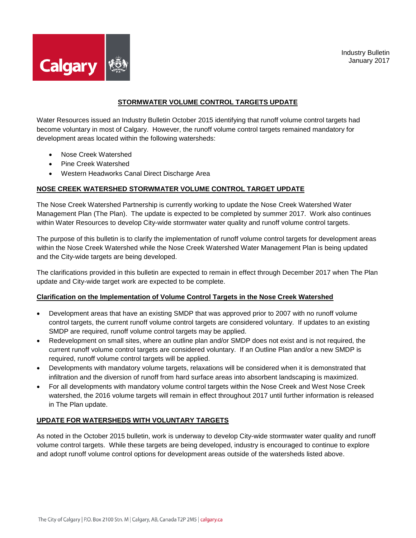



## **STORMWATER VOLUME CONTROL TARGETS UPDATE**

Water Resources issued an Industry Bulletin October 2015 identifying that runoff volume control targets had become voluntary in most of Calgary. However, the runoff volume control targets remained mandatory for development areas located within the following watersheds:

- Nose Creek Watershed
- Pine Creek Watershed
- Western Headworks Canal Direct Discharge Area

## **NOSE CREEK WATERSHED STORWMATER VOLUME CONTROL TARGET UPDATE**

The Nose Creek Watershed Partnership is currently working to update the Nose Creek Watershed Water Management Plan (The Plan). The update is expected to be completed by summer 2017. Work also continues within Water Resources to develop City-wide stormwater water quality and runoff volume control targets.

The purpose of this bulletin is to clarify the implementation of runoff volume control targets for development areas within the Nose Creek Watershed while the Nose Creek Watershed Water Management Plan is being updated and the City-wide targets are being developed.

The clarifications provided in this bulletin are expected to remain in effect through December 2017 when The Plan update and City-wide target work are expected to be complete.

## **Clarification on the Implementation of Volume Control Targets in the Nose Creek Watershed**

- Development areas that have an existing SMDP that was approved prior to 2007 with no runoff volume control targets, the current runoff volume control targets are considered voluntary. If updates to an existing SMDP are required, runoff volume control targets may be applied.
- Redevelopment on small sites, where an outline plan and/or SMDP does not exist and is not required, the current runoff volume control targets are considered voluntary. If an Outline Plan and/or a new SMDP is required, runoff volume control targets will be applied.
- Developments with mandatory volume targets, relaxations will be considered when it is demonstrated that infiltration and the diversion of runoff from hard surface areas into absorbent landscaping is maximized.
- For all developments with mandatory volume control targets within the Nose Creek and West Nose Creek watershed, the 2016 volume targets will remain in effect throughout 2017 until further information is released in The Plan update.

## **UPDATE FOR WATERSHEDS WITH VOLUNTARY TARGETS**

As noted in the October 2015 bulletin, work is underway to develop City-wide stormwater water quality and runoff volume control targets. While these targets are being developed, industry is encouraged to continue to explore and adopt runoff volume control options for development areas outside of the watersheds listed above.